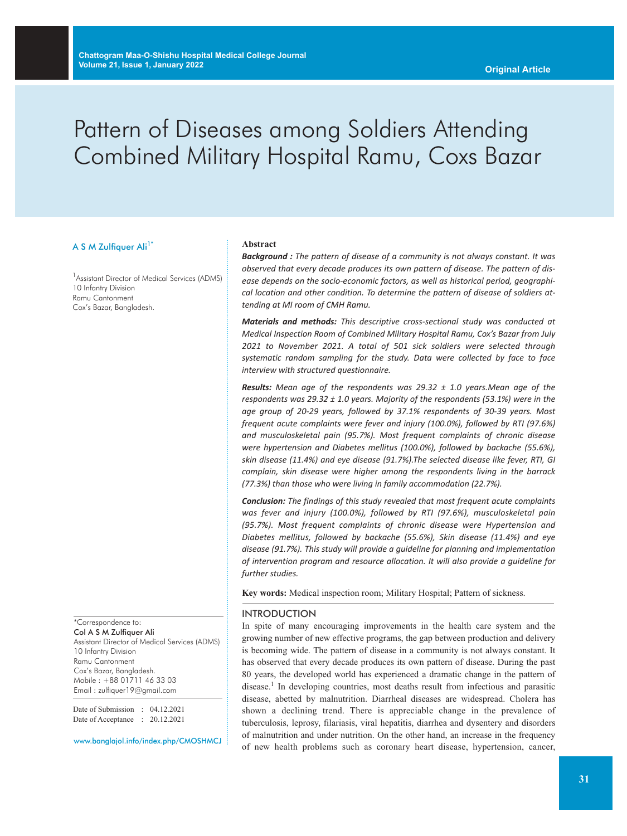# Pattern of Diseases among Soldiers Attending Combined Military Hospital Ramu, Coxs Bazar

#### A S M Zulfiquer Ali<sup>1\*</sup>

<sup>1</sup> Assistant Director of Medical Services (ADMS) 10 Infantry Division Ramu Cantonment Cox's Bazar, Bangladesh.

\*Correspondence to: Col A S M Zulfiquer Ali Assistant Director of Medical Services (ADMS) 10 Infantry Division Ramu Cantonment Cox's Bazar, Bangladesh. Mobile : +88 01711 46 33 03 Email : zulfiquer19@gmail.com

Date of Submission : 04.12.2021 Date of Acceptance : 20.12.2021

www.banglajol.info/index.php/CMOSHMCJ

#### **Abstract**

*Background : The pattern of disease of a community is not always constant. It was observed that every decade produces its own pattern of disease. The pattern of disease depends on the socio-economic factors, as well as historical period, geographical location and other condition. To determine the pattern of disease of soldiers attending at MI room of CMH Ramu.*

*Materials and methods: This descriptive cross-sectional study was conducted at Medical Inspection Room of Combined Military Hospital Ramu, Cox's Bazar from July 2021 to November 2021. A total of 501 sick soldiers were selected through systematic random sampling for the study. Data were collected by face to face interview with structured questionnaire.*

*Results: Mean age of the respondents was 29.32 ± 1.0 years.Mean age of the respondents was 29.32 ± 1.0 years. Majority of the respondents (53.1%) were in the age group of 20-29 years, followed by 37.1% respondents of 30-39 years. Most frequent acute complaints were fever and injury (100.0%), followed by RTI (97.6%) and musculoskeletal pain (95.7%). Most frequent complaints of chronic disease were hypertension and Diabetes mellitus (100.0%), followed by backache (55.6%), skin disease (11.4%) and eye disease (91.7%).The selected disease like fever, RTI, GI complain, skin disease were higher among the respondents living in the barrack (77.3%) than those who were living in family accommodation (22.7%).*

*Conclusion: The findings of this study revealed that most frequent acute complaints was fever and injury (100.0%), followed by RTI (97.6%), musculoskeletal pain (95.7%). Most frequent complaints of chronic disease were Hypertension and Diabetes mellitus, followed by backache (55.6%), Skin disease (11.4%) and eye disease (91.7%). This study will provide a guideline for planning and implementation of intervention program and resource allocation. It will also provide a guideline for further studies.*

**Key words:** Medical inspection room; Military Hospital; Pattern of sickness.

#### INTRODUCTION

In spite of many encouraging improvements in the health care system and the growing number of new effective programs, the gap between production and delivery is becoming wide. The pattern of disease in a community is not always constant. It has observed that every decade produces its own pattern of disease. During the past 80 years, the developed world has experienced a dramatic change in the pattern of disease. <sup>1</sup> In developing countries, most deaths result from infectious and parasitic disease, abetted by malnutrition. Diarrheal diseases are widespread. Cholera has shown a declining trend. There is appreciable change in the prevalence of tuberculosis, leprosy, filariasis, viral hepatitis, diarrhea and dysentery and disorders of malnutrition and under nutrition. On the other hand, an increase in the frequency of new health problems such as coronary heart disease, hypertension, cancer,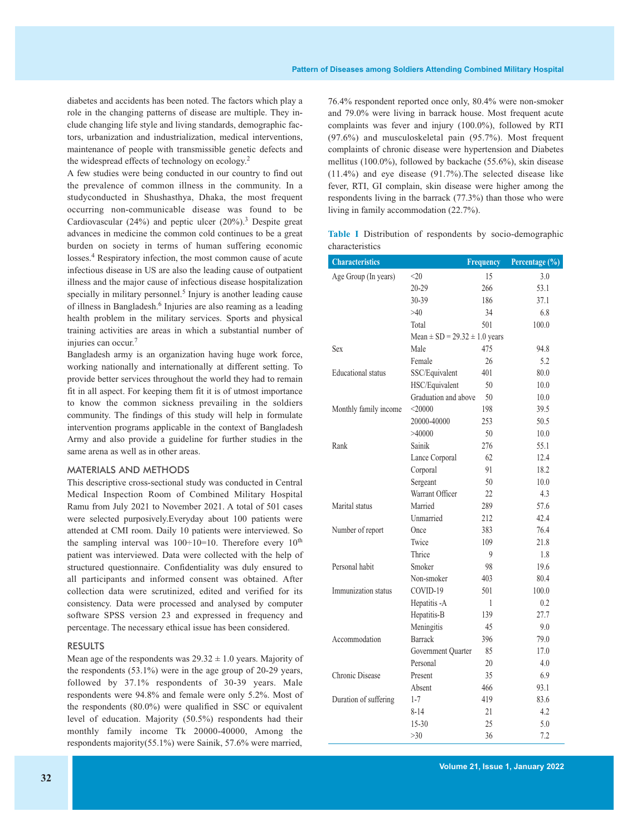diabetes and accidents has been noted. The factors which play a role in the changing patterns of disease are multiple. They include changing life style and living standards, demographic factors, urbanization and industrialization, medical interventions, maintenance of people with transmissible genetic defects and the widespread effects of technology on ecology. 2

A few studies were being conducted in our country to find out the prevalence of common illness in the community. In a studyconducted in Shushasthya, Dhaka, the most frequent occurring non-communicable disease was found to be Cardiovascular (24%) and peptic ulcer (20%). <sup>3</sup> Despite great advances in medicine the common cold continues to be a great burden on society in terms of human suffering economic losses. <sup>4</sup> Respiratory infection, the most common cause of acute infectious disease in US are also the leading cause of outpatient illness and the major cause of infectious disease hospitalization specially in military personnel.<sup>5</sup> Injury is another leading cause of illness in Bangladesh. <sup>6</sup> Injuries are also reaming as a leading health problem in the military services. Sports and physical training activities are areas in which a substantial number of injuries can occur. 7

Bangladesh army is an organization having huge work force, working nationally and internationally at different setting. To provide better services throughout the world they had to remain fit in all aspect. For keeping them fit it is of utmost importance to know the common sickness prevailing in the soldiers community. The findings of this study will help in formulate intervention programs applicable in the context of Bangladesh Army and also provide a guideline for further studies in the same arena as well as in other areas.

#### MATERIALS AND METHODS

This descriptive cross-sectional study was conducted in Central Medical Inspection Room of Combined Military Hospital Ramu from July 2021 to November 2021. A total of 501 cases were selected purposively.Everyday about 100 patients were attended at CMI room. Daily 10 patients were interviewed. So the sampling interval was  $100 \div 10 = 10$ . Therefore every  $10^{th}$ patient was interviewed. Data were collected with the help of structured questionnaire. Confidentiality was duly ensured to all participants and informed consent was obtained. After collection data were scrutinized, edited and verified for its consistency. Data were processed and analysed by computer software SPSS version 23 and expressed in frequency and percentage. The necessary ethical issue has been considered.

#### RESULTS

Mean age of the respondents was  $29.32 \pm 1.0$  years. Majority of the respondents (53.1%) were in the age group of 20-29 years, followed by 37.1% respondents of 30-39 years. Male respondents were 94.8% and female were only 5.2%. Most of the respondents (80.0%) were qualified in SSC or equivalent level of education. Majority (50.5%) respondents had their monthly family income Tk 20000-40000, Among the respondents majority(55.1%) were Sainik, 57.6% were married,

76.4% respondent reported once only, 80.4% were non-smoker and 79.0% were living in barrack house. Most frequent acute complaints was fever and injury (100.0%), followed by RTI (97.6%) and musculoskeletal pain (95.7%). Most frequent complaints of chronic disease were hypertension and Diabetes mellitus (100.0%), followed by backache (55.6%), skin disease (11.4%) and eye disease (91.7%).The selected disease like fever, RTI, GI complain, skin disease were higher among the respondents living in the barrack (77.3%) than those who were living in family accommodation (22.7%).

**Table I** Distribution of respondents by socio-demographic characteristics

| <b>Characteristics</b>    |                                       | <b>Frequency</b> | Percentage $\overline{(*)}$ |
|---------------------------|---------------------------------------|------------------|-----------------------------|
| Age Group (In years)      | $<$ 20                                | 15               | 3.0                         |
|                           | 20-29                                 | 266              | 53.1                        |
|                           | 30-39                                 | 186              | 37.1                        |
|                           | >40                                   | 34               | 6.8                         |
|                           | Total                                 | 501              | 100.0                       |
|                           | Mean $\pm$ SD = 29.32 $\pm$ 1.0 years |                  |                             |
| <b>Sex</b>                | Male                                  | 475              | 94.8                        |
|                           | Female                                | 26               | 5.2                         |
| <b>Educational</b> status | SSC/Equivalent                        | 401              | 80.0                        |
|                           | HSC/Equivalent                        | 50               | 10.0                        |
|                           | Graduation and above                  | 50               | 10.0                        |
| Monthly family income     | < 20000                               | 198              | 39.5                        |
|                           | 20000-40000                           | 253              | 50.5                        |
|                           | >40000                                | 50               | 10.0                        |
| Rank                      | Sainik                                | 276              | 55.1                        |
|                           | Lance Corporal                        | 62               | 12.4                        |
|                           | Corporal                              | 91               | 18.2                        |
|                           | Sergeant                              | 50               | 10.0                        |
|                           | Warrant Officer                       | 22               | 4.3                         |
| Marital status            | Married                               | 289              | 57.6                        |
|                           | Unmarried                             | 212              | 42.4                        |
| Number of report          | Once                                  | 383              | 76.4                        |
|                           | Twice                                 | 109              | 21.8                        |
|                           | Thrice                                | 9                | 1.8                         |
| Personal habit            | Smoker                                | 98               | 19.6                        |
|                           | Non-smoker                            | 403              | 80.4                        |
| Immunization status       | COVID-19                              | 501              | 100.0                       |
|                           | Hepatitis -A                          | 1                | 0.2                         |
|                           | Hepatitis-B                           | 139              | 27.7                        |
|                           | Meningitis                            | 45               | 9.0                         |
| Accommodation             | <b>Barrack</b>                        | 396              | 79.0                        |
|                           | Government Quarter                    | 85               | 17.0                        |
|                           | Personal                              | 20               | 4.0                         |
| Chronic Disease           | Present                               | 35               | 6.9                         |
|                           | Absent                                | 466              | 93.1                        |
| Duration of suffering     | $1 - 7$                               | 419              | 83.6                        |
|                           | $8 - 14$                              | 21               | 4.2                         |
|                           | $15 - 30$                             | 25               | 5.0                         |
|                           | $>30$                                 | 36               | 7.2                         |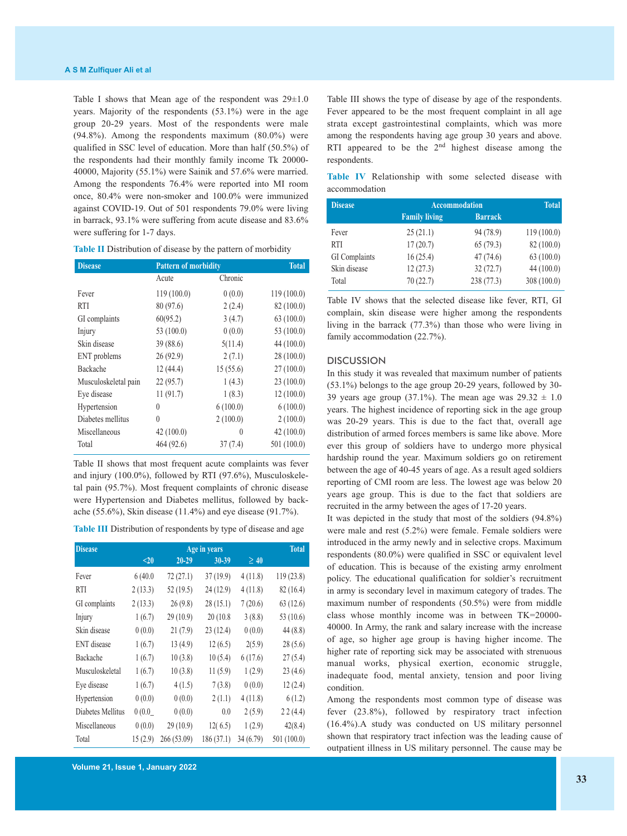Table I shows that Mean age of the respondent was  $29 \pm 1.0$ years. Majority of the respondents (53.1%) were in the age group 20-29 years. Most of the respondents were male  $(94.8\%)$ . Among the respondents maximum  $(80.0\%)$  were qualified in SSC level of education. More than half (50.5%) of the respondents had their monthly family income Tk 20000- 40000, Majority (55.1%) were Sainik and 57.6% were married. Among the respondents 76.4% were reported into MI room once, 80.4% were non-smoker and 100.0% were immunized against COVID-19. Out of 501 respondents 79.0% were living in barrack, 93.1% were suffering from acute disease and 83.6% were suffering for 1-7 days.

| Table II Distribution of disease by the pattern of morbidity |  |  |
|--------------------------------------------------------------|--|--|
|--------------------------------------------------------------|--|--|

| <b>Disease</b>       | <b>Pattern of morbidity</b> | <b>Total</b> |             |
|----------------------|-----------------------------|--------------|-------------|
|                      | Acute                       | Chronic      |             |
| Fever                | 119(100.0)                  | 0(0.0)       | 119(100.0)  |
| <b>RTI</b>           | 80 (97.6)                   | 2(2.4)       | 82 (100.0)  |
| GI complaints        | 60(95.2)                    | 3(4.7)       | 63(100.0)   |
| Injury               | 53 (100.0)                  | 0(0.0)       | 53 (100.0)  |
| Skin disease         | 39 (88.6)                   | 5(11.4)      | 44 (100.0)  |
| ENT problems         | 26(92.9)                    | 2(7.1)       | 28(100.0)   |
| Backache             | 12(44.4)                    | 15(55.6)     | 27(100.0)   |
| Musculoskeletal pain | 22(95.7)                    | 1(4.3)       | 23(100.0)   |
| Eye disease          | 11 (91.7)                   | 1(8.3)       | 12(100.0)   |
| Hypertension         | $\theta$                    | 6(100.0)     | 6(100.0)    |
| Diabetes mellitus    | $\theta$                    | 2(100.0)     | 2(100.0)    |
| Miscellaneous        | 42(100.0)                   | $\theta$     | 42(100.0)   |
| Total                | 464 (92.6)                  | 37(7.4)      | 501 (100.0) |

Table II shows that most frequent acute complaints was fever and injury (100.0%), followed by RTI (97.6%), Musculoskeletal pain (95.7%). Most frequent complaints of chronic disease were Hypertension and Diabetes mellitus, followed by backache (55.6%), Skin disease (11.4%) and eye disease (91.7%).

**Table III** Distribution of respondents by type of disease and age

| <b>Disease</b>     |         | <b>Total</b> |           |           |             |
|--------------------|---------|--------------|-----------|-----------|-------------|
|                    | $20$    | $20 - 29$    | 30-39     | $\geq 40$ |             |
| Fever              | 6(40.0) | 72(27.1)     | 37(19.9)  | 4(11.8)   | 119 (23.8)  |
| <b>RTI</b>         | 2(13.3) | 52(19.5)     | 24 (12.9) | 4(11.8)   | 82 (16.4)   |
| GI complaints      | 2(13.3) | 26(9.8)      | 28(15.1)  | 7(20.6)   | 63(12.6)    |
| Injury             | 1(6.7)  | 29(10.9)     | 20(10.8)  | 3(8.8)    | 53 $(10.6)$ |
| Skin disease       | 0(0.0)  | 21(7.9)      | 23(12.4)  | 0(0.0)    | 44(8.8)     |
| <b>ENT</b> disease | 1(6.7)  | 13(4.9)      | 12(6.5)   | 2(5.9)    | 28(5.6)     |
| Backache           | 1(6.7)  | 10(3.8)      | 10(5.4)   | 6(17.6)   | 27(5.4)     |
| Musculoskeletal    | 1(6.7)  | 10(3.8)      | 11(5.9)   | 1(2.9)    | 23(4.6)     |
| Eye disease        | 1(6.7)  | 4(1.5)       | 7(3.8)    | 0(0.0)    | 12(2.4)     |
| Hypertension       | 0(0.0)  | 0(0.0)       | 2(1.1)    | 4(11.8)   | 6(1.2)      |
| Diabetes Mellitus  | 0(0.0)  | 0(0.0)       | 0.0       | 2(5.9)    | 22(4.4)     |
| Miscellaneous      | 0(0.0)  | 29(10.9)     | 12(6.5)   | 1(2.9)    | 42(8.4)     |
| Total              | 15(2.9) | 266 (53.09)  | 186(37.1) | 34(6.79)  | 501 (100.0) |

**Volume 21, Issue 1, January 2022**

Table III shows the type of disease by age of the respondents. Fever appeared to be the most frequent complaint in all age strata except gastrointestinal complaints, which was more among the respondents having age group 30 years and above. RTI appeared to be the  $2<sup>nd</sup>$  highest disease among the respondents.

|               | Table IV Relationship with some selected disease with |  |  |  |
|---------------|-------------------------------------------------------|--|--|--|
| accommodation |                                                       |  |  |  |

| <b>Disease</b> | <b>Accommodation</b> | <b>Total</b>   |             |
|----------------|----------------------|----------------|-------------|
|                | <b>Family living</b> | <b>Barrack</b> |             |
| Fever          | 25(21.1)             | 94 (78.9)      | 119(100.0)  |
| <b>RTI</b>     | 17(20.7)             | 65(79.3)       | 82 (100.0)  |
| GI Complaints  | 16(25.4)             | 47(74.6)       | 63 (100.0)  |
| Skin disease   | 12(27.3)             | 32(72.7)       | 44(100.0)   |
| Total          | 70(22.7)             | 238 (77.3)     | 308 (100.0) |

Table IV shows that the selected disease like fever, RTI, GI complain, skin disease were higher among the respondents living in the barrack (77.3%) than those who were living in family accommodation (22.7%).

#### **DISCUSSION**

In this study it was revealed that maximum number of patients (53.1%) belongs to the age group 20-29 years, followed by 30- 39 years age group (37.1%). The mean age was  $29.32 \pm 1.0$ years. The highest incidence of reporting sick in the age group was 20-29 years. This is due to the fact that, overall age distribution of armed forces members is same like above. More ever this group of soldiers have to undergo more physical hardship round the year. Maximum soldiers go on retirement between the age of 40-45 years of age. As a result aged soldiers reporting of CMI room are less. The lowest age was below 20 years age group. This is due to the fact that soldiers are recruited in the army between the ages of 17-20 years.

It was depicted in the study that most of the soldiers (94.8%) were male and rest (5.2%) were female. Female soldiers were introduced in the army newly and in selective crops. Maximum respondents (80.0%) were qualified in SSC or equivalent level of education. This is because of the existing army enrolment policy. The educational qualification for soldier's recruitment in army is secondary level in maximum category of trades. The maximum number of respondents (50.5%) were from middle class whose monthly income was in between TK=20000- 40000. In Army, the rank and salary increase with the increase of age, so higher age group is having higher income. The higher rate of reporting sick may be associated with strenuous manual works, physical exertion, economic struggle, inadequate food, mental anxiety, tension and poor living condition.

Among the respondents most common type of disease was fever (23.8%), followed by respiratory tract infection (16.4%).A study was conducted on US military personnel shown that respiratory tract infection was the leading cause of outpatient illness in US military personnel. The cause may be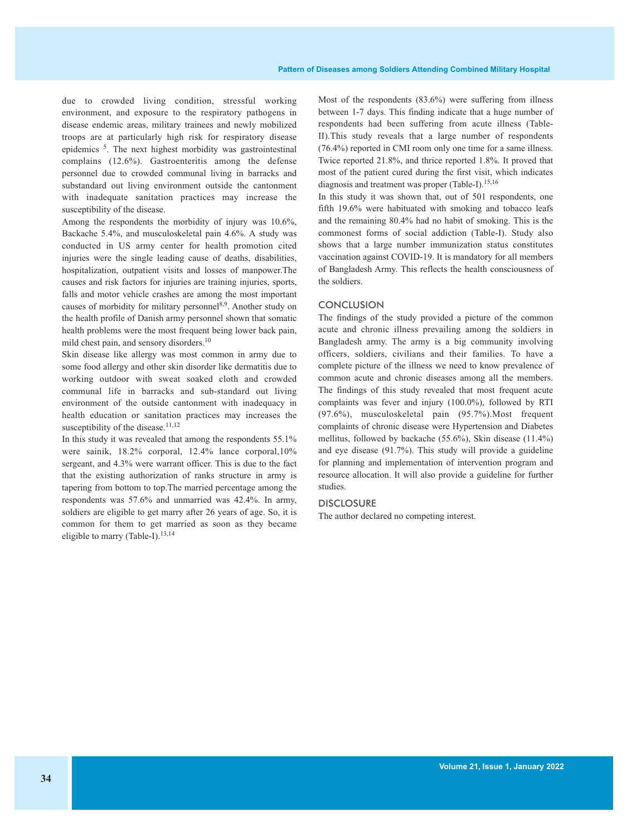due to crowded living condition, stressful working environment, and exposure to the respiratory pathogens in disease endemic areas, military trainees and newly mobilized troops are at particularly high risk for respiratory disease epidemics 5. The next highest morbidity was gastrointestinal complains (12.6%). Gastroenteritis among the defense personnel due to crowded communal living in barracks and substandard out living environment outside the cantonment with inadequate sanitation practices may increase the susceptibility of the disease.

Among the respondents the morbidity of injury was 10.6%, Backache 5.4%, and musculoskeletal pain 4.6%. A study was conducted in US army center for health promotion cited injuries were the single leading cause of deaths, disabilities, hospitalization, outpatient visits and losses of manpower.The causes and risk factors for injuries are training injuries, sports, falls and motor vehicle crashes are among the most important causes of morbidity for military personnel<sup>8,9</sup>. Another study on the health profile of Danish army personnel shown that somatic health problems were the most frequent being lower back pain, mild chest pain, and sensory disorders.<sup>10</sup>

Skin disease like allergy was most common in army due to some food allergy and other skin disorder like dermatitis due to working outdoor with sweat soaked cloth and crowded communal life in barracks and sub-standard out living environment of the outside cantonment with inadequacy in health education or sanitation practices may increases the susceptibility of the disease.<sup>11,12</sup>

In this study it was revealed that among the respondents 55.1% were sainik, 18.2% corporal, 12.4% lance corporal,10% sergeant, and 4.3% were warrant officer. This is due to the fact that the existing authorization of ranks structure in army is tapering from bottom to top.The married percentage among the respondents was 57.6% and unmarried was 42.4%. In army, soldiers are eligible to get marry after 26 years of age. So, it is common for them to get married as soon as they became eligible to marry (Table-I).<sup>13,14</sup>

Most of the respondents (83.6%) were suffering from illness between 1-7 days. This finding indicate that a huge number of respondents had been suffering from acute illness (Table-II).This study reveals that a large number of respondents (76.4%) reported in CMI room only one time for a same illness. Twice reported 21.8%, and thrice reported 1.8%. It proved that most of the patient cured during the first visit, which indicates diagnosis and treatment was proper (Table-I). 15,16

In this study it was shown that, out of 501 respondents, one fifth 19.6% were habituated with smoking and tobacco leafs and the remaining 80.4% had no habit of smoking. This is the commonest forms of social addiction (Table-I). Study also shows that a large number immunization status constitutes vaccination against COVID-19. It is mandatory for all members of Bangladesh Army. This reflects the health consciousness of the soldiers.

### **CONCLUSION**

The findings of the study provided a picture of the common acute and chronic illness prevailing among the soldiers in Bangladesh army. The army is a big community involving officers, soldiers, civilians and their families. To have a complete picture of the illness we need to know prevalence of common acute and chronic diseases among all the members. The findings of this study revealed that most frequent acute complaints was fever and injury (100.0%), followed by RTI (97.6%), musculoskeletal pain (95.7%).Most frequent complaints of chronic disease were Hypertension and Diabetes mellitus, followed by backache (55.6%), Skin disease (11.4%) and eye disease (91.7%). This study will provide a guideline for planning and implementation of intervention program and resource allocation. It will also provide a guideline for further studies.

#### **DISCLOSURE**

The author declared no competing interest.